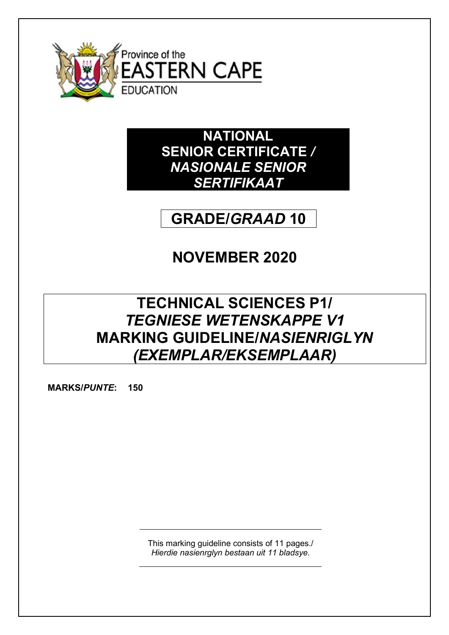

**NATIONAL SENIOR CERTIFICATE** */ NASIONALE SENIOR SERTIFIKAAT*

# **GRADE/***GRAAD* **10**

# **NOVEMBER 2020**

# **TECHNICAL SCIENCES P1/** *TEGNIESE WETENSKAPPE V1* **MARKING GUIDELINE/***NASIENRIGLYN (EXEMPLAR/EKSEMPLAAR)*

**MARKS/***PUNTE***: 150**

This marking guideline consists of 11 pages./ *Hierdie nasienrglyn bestaan uit 11 bladsye.*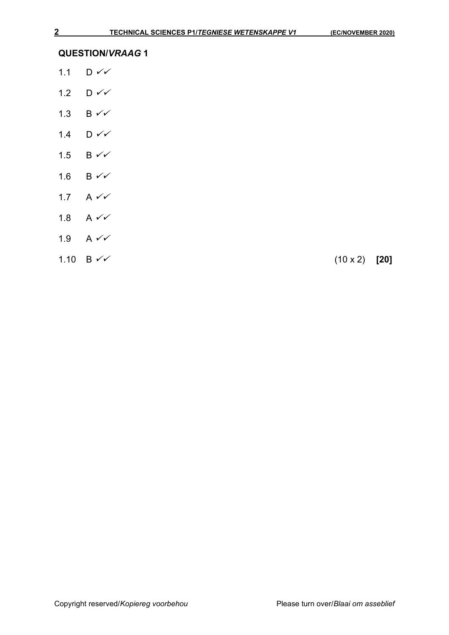- 1.1  $D \checkmark$
- 1.2 D  $\checkmark\checkmark$
- 1.3 B  $\checkmark\checkmark$
- 1.4  $D \checkmark$
- 1.5 B  $\checkmark\checkmark$
- 1.6 B  $\checkmark\checkmark$
- 1.7 A  $\checkmark$
- 1.8  $A \vee C$
- 1.9 A  $\checkmark\checkmark$
- $1.10 \text{ B} \checkmark \checkmark$  (10 x 2) [20]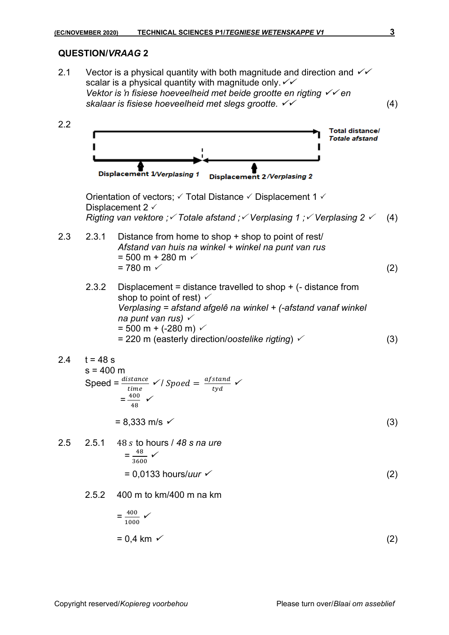2.1 Vector is a physical quantity with both magnitude and direction and  $\checkmark$ scalar is a physical quantity with magnitude only.  $\check{\phantom{1}}\check{\phantom{1}}$ *Vektor is 'n fisiese hoeveelheid met beide grootte en rigting* ✓✓ *en skalaar is fisiese hoeveelheid met slegs grootte.* ✓✓ (4) 2.2 **Total distance/ Totale afstand** Displacement 1/Verplasing 1 **Displacement 2/Verplasing 2** Orientation of vectors;  $\checkmark$  Total Distance  $\checkmark$  Displacement 1  $\checkmark$ Displacement 2  $\checkmark$ *Rigting van vektore ; Totale afstand ; Verplasing 1 ; Verplasing 2* (4) 2.3 2.3.1 Distance from home to shop + shop to point of rest/ *Afstand van huis na winkel + winkel na punt van rus*  $= 500$  m + 280 m  $\sim$  $= 780 \text{ m}$  (2) 2.3.2 Displacement = distance travelled to shop + (- distance from shop to point of rest)  $\checkmark$ *Verplasing = afstand afgelê na winkel + (-afstand vanaf winkel na punt van rus)*  $= 500$  m + (-280 m)  $\checkmark$ = 220 m (easterly direction/*oostelike rigting*) (3)  $24$  t = 48 s  $s = 400$  m Speed =  $\frac{distance}{time}$  $\checkmark$  / Spoed =  $\frac{afstand}{md}$ ✓ tyd  $=\frac{400}{40}$ ✓48  $= 8,333 \text{ m/s}$  (3) 2.5 2.5.1 48 to hours / *48 s na ure*  $=\frac{48}{368}$ ✓ 3600  $= 0.0133$  hours/*uur* <del>✓</del> (2) 2.5.2 400 m to km/400 m na km  $=\frac{400}{1000}$ ✓ 1000  $= 0.4$  km  $\check{ }$  (2)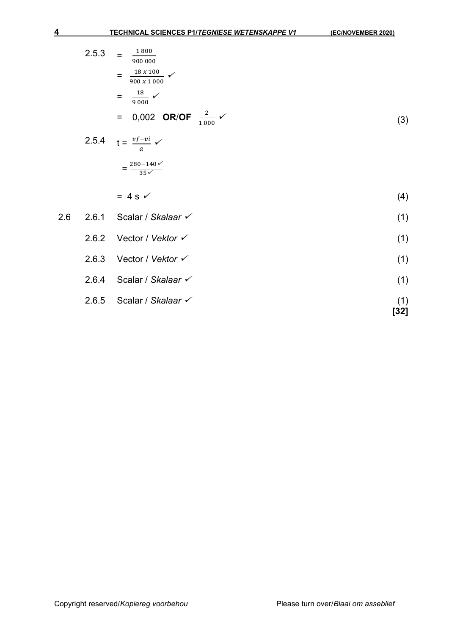| 2.5.3 | = | 1800<br>900 000                             |     |
|-------|---|---------------------------------------------|-----|
|       |   | 18 x 100<br>900 x 1000                      |     |
|       | = | 18<br>9000                                  |     |
|       |   | = 0,002 OR/OF $\frac{2}{1000}$ $\checkmark$ | (3) |
|       |   |                                             |     |

2.5.4 
$$
t = \frac{vf - vi}{a} \checkmark
$$

$$
= \frac{280 - 140\checkmark}{35\checkmark}
$$

$$
= 4 s \checkmark \tag{4}
$$

| 2.6   | 2.6.1                         | Scalar / Skalaar $\checkmark$ | (1) |
|-------|-------------------------------|-------------------------------|-----|
| 2.6.2 | Vector / Vektor $\checkmark$  | (1)                           |     |
| 2.6.3 | Vector / Vektor $\checkmark$  | (1)                           |     |
| 2.6.4 | Scalar / Skalaar $\checkmark$ | (1)                           |     |
| 2.6.5 | Scalar / Skalaar $\checkmark$ | (1)                           |     |

$$
1) \quad \text{Total} \quad \text{[32]}
$$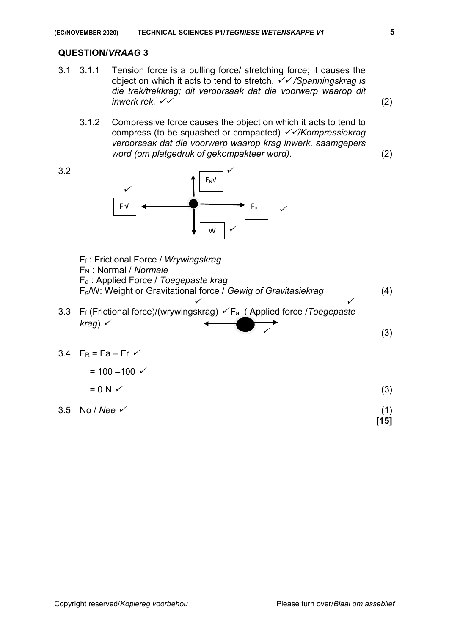- 3.1 3.1.1 Tension force is a pulling force/ stretching force; it causes the object on which it acts to tend to stretch. ✓✓ */Spanningskrag is die trek/trekkrag; dit veroorsaak dat die voorwerp waarop dit*   $i$ *nwerk rek.*  $\checkmark$  (2)
	- 3.1.2 Compressive force causes the object on which it acts to tend to compress (to be squashed or compacted) ✓✓*/Kompressiekrag veroorsaak dat die voorwerp waarop krag inwerk, saamgepers word (om platgedruk of gekompakteer word).* (2)

(3)



- F<sup>f</sup> : Frictional Force / *Wrywingskrag* √ F<sup>N</sup> : Normal / *Normale* F<sup>a</sup> : Applied Force / *Toegepaste krag* √√√ Fg/W: Weight or Gravitational force / *Gewig of Gravitasiekrag* (4) √  $\sigma$ ✓✓
- 3.3 F<sup>f</sup> (Frictional force)/(wrywingskrag) ✓ Fa ( Applied force /*Toegepaste*   $k$ rag)  $\checkmark$ ✓

3.4 
$$
F_R = Fa - Fr \checkmark
$$

$$
= 100 - 100 \checkmark
$$
  
= 0 N \checkmark (3)

 $3.5 \text{ No} / \text{Nee}$  (1) **[15]**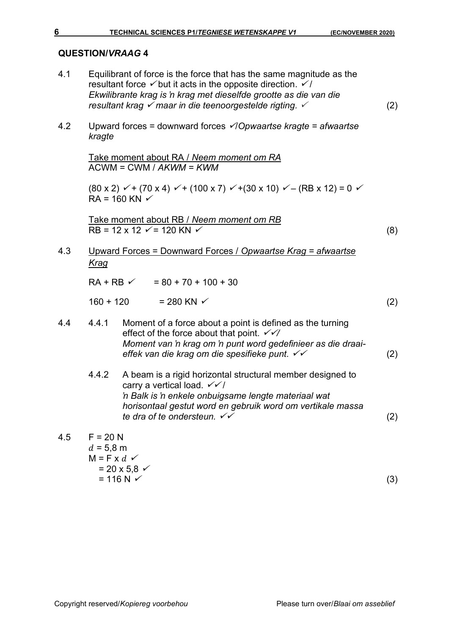- 4.1 Equilibrant of force is the force that has the same magnitude as the resultant force  $\checkmark$  but it acts in the opposite direction.  $\checkmark$  / *Ekwilibrante krag is 'n krag met dieselfde grootte as die van die resultant krag* ✓ *maar in die teenoorgestelde rigting.*  (2)
- 4.2 Upward forces = downward forces ✓/*Opwaartse kragte = afwaartse kragte*

Take moment about RA / *Neem moment om RA* ACWM = CWM / *AKWM = KWM*

 $(80 \times 2)$   $\checkmark$  + (70 x 4)  $\checkmark$  + (100 x 7)  $\checkmark$  + (30 x 10)  $\checkmark$  – (RB x 12) = 0  $\checkmark$  $RA = 160$  KN  $\checkmark$ 

Take moment about RB / *Neem moment om RB*  $RB = 12 \times 12 \times 120 \text{ KN} \times (8)$ 

4.3 Upward Forces = Downward Forces / *Opwaartse Krag = afwaartse Krag*

 $RA + RB \sim 0.30 + 70 + 100 + 30$  $160 + 120 = 280$  KN  $\checkmark$  (2)

- 4.4 4.4.1 Moment of a force about a point is defined as the turning effect of the force about that point. ✓✓*/ Moment van 'n krag om 'n punt word gedefinieer as die draaieffek van die krag om die spesifieke punt.* ✓✓ (2)
	- 4.4.2 A beam is a rigid horizontal structural member designed to carry a vertical load.  $\checkmark\checkmark$ *'n Balk is 'n enkele onbuigsame lengte materiaal wat horisontaal gestut word en gebruik word om vertikale massa te dra of te ondersteun.* ✓✓ (2)
- $4.5$  F = 20 N  $d = 5.8$  m  $M = F \times d \checkmark$  $= 20 \times 5.8$   $\checkmark$  $= 116 N \checkmark$  (3)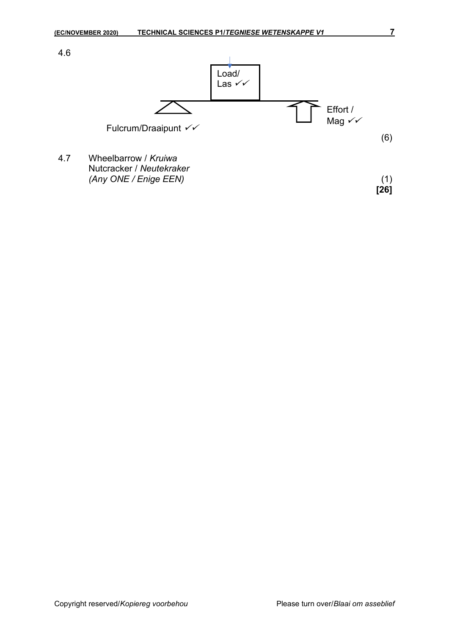

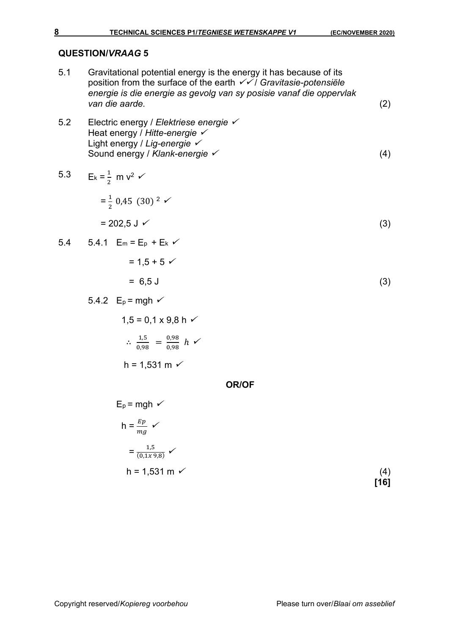| 5.1 | Gravitational potential energy is the energy it has because of its<br>position from the surface of the earth $\checkmark$ / Gravitasie-potensiële<br>energie is die energie as gevolg van sy posisie vanaf die oppervlak<br>van die aarde. |             |  |  |
|-----|--------------------------------------------------------------------------------------------------------------------------------------------------------------------------------------------------------------------------------------------|-------------|--|--|
| 5.2 | Electric energy / Elektriese energie √<br>Heat energy / Hitte-energie $\checkmark$<br>Light energy / Lig-energie $\checkmark$<br>Sound energy / Klank-energie √                                                                            |             |  |  |
|     | 5.3 $E_k = \frac{1}{2}$ m $v^2$ $\checkmark$                                                                                                                                                                                               |             |  |  |
|     | $=\frac{1}{2}$ 0,45 (30) <sup>2</sup> $\checkmark$                                                                                                                                                                                         |             |  |  |
|     | $= 202.5 \text{ J}$                                                                                                                                                                                                                        |             |  |  |
|     | 5.4 5.4.1 $E_m = E_p + E_k$                                                                                                                                                                                                                |             |  |  |
|     | $= 1.5 + 5 \checkmark$                                                                                                                                                                                                                     |             |  |  |
|     | $= 6.5$ J                                                                                                                                                                                                                                  | (3)         |  |  |
|     | 5.4.2 $E_p = mgh \checkmark$                                                                                                                                                                                                               |             |  |  |
|     | $1,5 = 0,1 \times 9,8$ h $\checkmark$                                                                                                                                                                                                      |             |  |  |
|     | $\therefore \frac{1,5}{0.98} = \frac{0.98}{0.98} h \checkmark$                                                                                                                                                                             |             |  |  |
|     | $h = 1,531 \text{ m}$ $\checkmark$                                                                                                                                                                                                         |             |  |  |
|     | <b>OR/OF</b>                                                                                                                                                                                                                               |             |  |  |
|     | $E_p = mgh \checkmark$                                                                                                                                                                                                                     |             |  |  |
|     | $h = \frac{Ep}{mg}$ $\checkmark$                                                                                                                                                                                                           |             |  |  |
|     | $=\frac{1,5}{(0,1x\,9,8)}$ $\checkmark$                                                                                                                                                                                                    |             |  |  |
|     | $h = 1,531$ m $\checkmark$                                                                                                                                                                                                                 | (4)<br>[16] |  |  |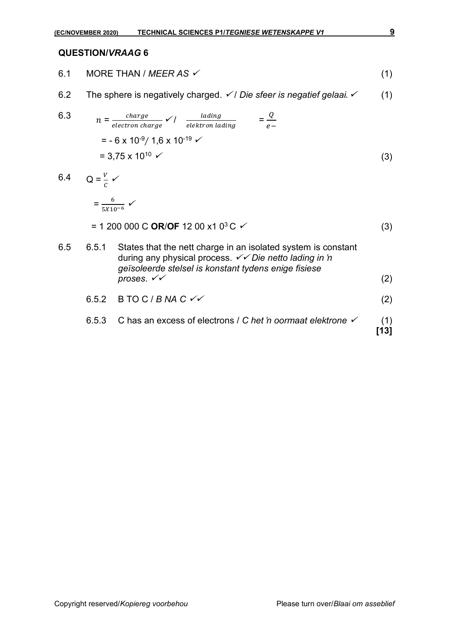- 6.1 MORE THAN /  $MEER AS \checkmark$  (1)
- 6.2 The sphere is negatively charged. ✓ / *Die sfeer is negatief gelaai*. ✓ (1)

6.3 
$$
n = \frac{charge}{electron \, charge} \checkmark / \frac{lading}{elektron \,lading} = \frac{Q}{e-}
$$
  
= - 6 x 10<sup>-9</sup>/ 1,6 x 10<sup>-19</sup>  $\checkmark$   
= 3,75 x 10<sup>10</sup>  $\checkmark$  (3)

- 6.4  $Q = \frac{V}{c}$  $\mathcal{C}_{0}^{(n)}$ ✓  $=\frac{6}{5X10^{-6}}$   $\checkmark$  $= 1200000 \text{ C} \text{ OR}/\text{OF} 1200 \text{ x}10^{3} \text{ C}$  <del> $(3)$ </del> 6.5 6.5.1 States that the nett charge in an isolated system is constant during any physical process. ✓✓ *Die netto lading in 'n geïsoleerde stelsel is konstant tydens enige fisiese*   $p$ roses.  $\check{v}$  (2) 6.5.2 B TO C / *B NA C* ✓✓ (2)
	- 6.5.3 C has an excess of electrons / *C het 'n oormaat elektrone* ✓ (1) **[13]**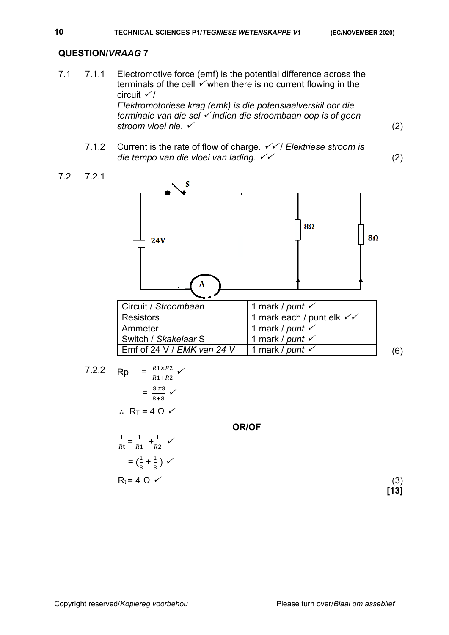- 7.1 7.1.1 Electromotive force (emf) is the potential difference across the terminals of the cell  $\checkmark$  when there is no current flowing in the circuit  $\checkmark$ *Elektromotoriese krag (emk) is die potensiaalverskil oor die terminale van die sel* ✓ *indien die stroombaan oop is of geen stroom vloei nie.* ✓ (2)
	- 7.1.2 Current is the rate of flow of charge. ✓✓ / *Elektriese stroom is die tempo van die vloei van lading.* ✓✓ (2)

$$
7.2 \qquad 7.2.1
$$



| Circuit / Stroombaan                          | 1 mark / punt $\checkmark$                    |     |
|-----------------------------------------------|-----------------------------------------------|-----|
| Resistors                                     | 1 mark each / punt elk $\checkmark\checkmark$ |     |
| Ammeter                                       | 1 mark / punt $\checkmark$                    |     |
| Switch / Skakelaar S                          | 1 mark / punt $\checkmark$                    |     |
| $\mathsf I$ Emf of 24 V / <i>EMK van 24 V</i> | 1 mark / punt $\checkmark$                    | .6) |

**OR/OF**

7.2.2 
$$
Rp = \frac{R1 \times R2}{R1 + R2} \checkmark
$$

$$
= \frac{8 \times 8}{8 + 8} \checkmark
$$

$$
\therefore R_T = 4 \Omega \checkmark
$$

$$
\frac{1}{Rt} = \frac{1}{R1} + \frac{1}{R2} \checkmark
$$

$$
Rt \t R1 \t R2
$$
  
=  $\left(\frac{1}{8} + \frac{1}{8}\right) \checkmark$   

$$
R_t = 4 \Omega \checkmark
$$
 (3)

**[13]**